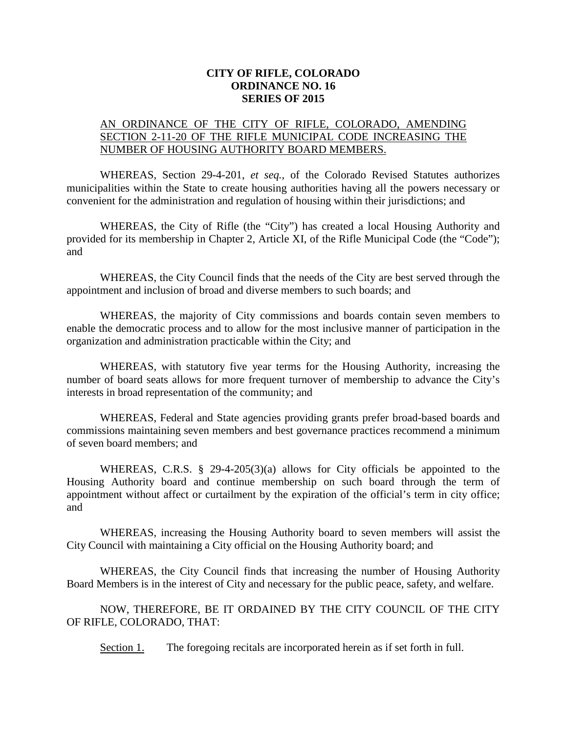## **CITY OF RIFLE, COLORADO ORDINANCE NO. 16 SERIES OF 2015**

## AN ORDINANCE OF THE CITY OF RIFLE, COLORADO, AMENDING SECTION 2-11-20 OF THE RIFLE MUNICIPAL CODE INCREASING THE NUMBER OF HOUSING AUTHORITY BOARD MEMBERS.

WHEREAS, Section 29-4-201, *et seq.*, of the Colorado Revised Statutes authorizes municipalities within the State to create housing authorities having all the powers necessary or convenient for the administration and regulation of housing within their jurisdictions; and

WHEREAS, the City of Rifle (the "City") has created a local Housing Authority and provided for its membership in Chapter 2, Article XI, of the Rifle Municipal Code (the "Code"); and

WHEREAS, the City Council finds that the needs of the City are best served through the appointment and inclusion of broad and diverse members to such boards; and

WHEREAS, the majority of City commissions and boards contain seven members to enable the democratic process and to allow for the most inclusive manner of participation in the organization and administration practicable within the City; and

WHEREAS, with statutory five year terms for the Housing Authority, increasing the number of board seats allows for more frequent turnover of membership to advance the City's interests in broad representation of the community; and

WHEREAS, Federal and State agencies providing grants prefer broad-based boards and commissions maintaining seven members and best governance practices recommend a minimum of seven board members; and

WHEREAS, C.R.S. § 29-4-205(3)(a) allows for City officials be appointed to the Housing Authority board and continue membership on such board through the term of appointment without affect or curtailment by the expiration of the official's term in city office; and

WHEREAS, increasing the Housing Authority board to seven members will assist the City Council with maintaining a City official on the Housing Authority board; and

WHEREAS, the City Council finds that increasing the number of Housing Authority Board Members is in the interest of City and necessary for the public peace, safety, and welfare.

NOW, THEREFORE, BE IT ORDAINED BY THE CITY COUNCIL OF THE CITY OF RIFLE, COLORADO, THAT:

Section 1. The foregoing recitals are incorporated herein as if set forth in full.